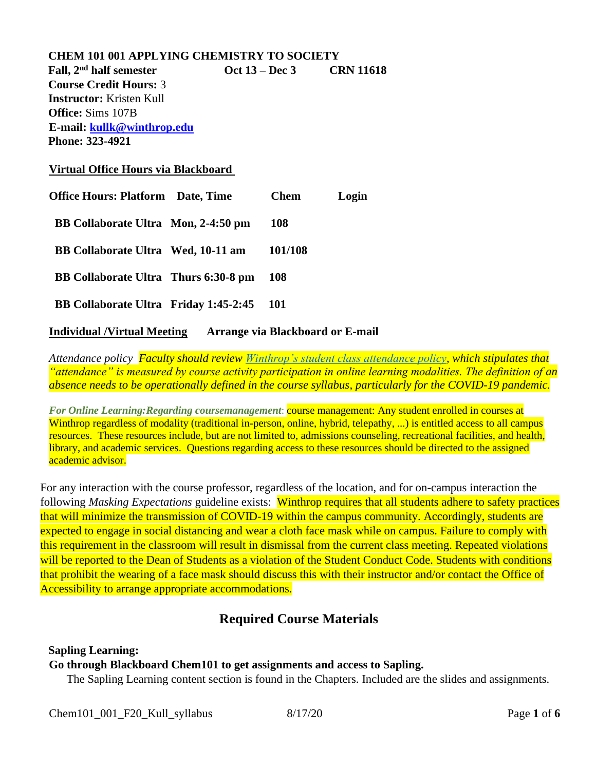| <b>CHEM 101 001 APPLYING CHEMISTRY TO SOCIETY</b> |  |             |                          |  |  |  |
|---------------------------------------------------|--|-------------|--------------------------|--|--|--|
| Fall, 2 <sup>nd</sup> half semester               |  |             | Oct 13 – Dec 3 CRN 11618 |  |  |  |
| <b>Course Credit Hours: 3</b>                     |  |             |                          |  |  |  |
| <b>Instructor:</b> Kristen Kull                   |  |             |                          |  |  |  |
| <b>Office:</b> Sims 107B                          |  |             |                          |  |  |  |
| E-mail: kullk@winthrop.edu                        |  |             |                          |  |  |  |
| <b>Phone: 323-4921</b>                            |  |             |                          |  |  |  |
| Virtual Office Hours via Blackboard               |  |             |                          |  |  |  |
| <b>Office Hours: Platform Date, Time</b>          |  | <b>Chem</b> | Login                    |  |  |  |
| BB Collaborate Ultra Mon, 2-4:50 pm               |  | 108         |                          |  |  |  |
| BB Collaborate Ultra Wed, 10-11 am                |  | 101/108     |                          |  |  |  |
| BB Collaborate Ultra Thurs 6:30-8 pm              |  | 108         |                          |  |  |  |
| <b>BB Collaborate Ultra Friday 1:45-2:45</b>      |  | <b>101</b>  |                          |  |  |  |
|                                                   |  |             |                          |  |  |  |

## **Individual /Virtual Meeting Arrange via Blackboard or E-mail**

*Attendance policy Faculty should review [Winthrop's student class attendance policy,](https://apps.winthrop.edu/policyrepository/Policy/FullPolicy?PID=399) which stipulates that "attendance" is measured by course activity participation in online learning modalities. The definition of an absence needs to be operationally defined in the course syllabus, particularly for the COVID-19 pandemic.*

*For Online Learning:Regarding coursemanagement: course management: Any student enrolled in courses at* Winthrop regardless of modality (traditional in-person, online, hybrid, telepathy, ...) is entitled access to all campus resources. These resources include, but are not limited to, admissions counseling, recreational facilities, and health, library, and academic services. Questions regarding access to these resources should be directed to the assigned academic advisor.

For any interaction with the course professor, regardless of the location, and for on-campus interaction the following *Masking Expectations* guideline exists: Winthrop requires that all students adhere to safety practices that will minimize the transmission of COVID-19 within the campus community. Accordingly, students are expected to engage in social distancing and wear a cloth face mask while on campus. Failure to comply with this requirement in the classroom will result in dismissal from the current class meeting. Repeated violations will be reported to the Dean of Students as a violation of the Student Conduct Code. Students with conditions that prohibit the wearing of a face mask should discuss this with their instructor and/or contact the Office of Accessibility to arrange appropriate accommodations.

## **Required Course Materials**

### **Sapling Learning:**

### **Go through Blackboard Chem101 to get assignments and access to Sapling.**

The Sapling Learning content section is found in the Chapters. Included are the slides and assignments.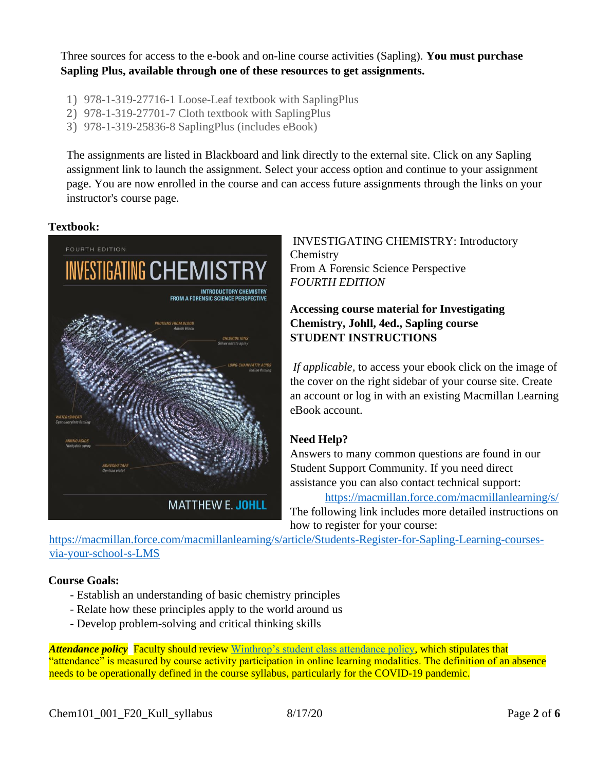Three sources for access to the e-book and on-line course activities (Sapling). **You must purchase Sapling Plus, available through one of these resources to get assignments.**

- 1) 978-1-319-27716-1 Loose-Leaf textbook with SaplingPlus
- 2) 978-1-319-27701-7 Cloth textbook with SaplingPlus
- 3) 978-1-319-25836-8 SaplingPlus (includes eBook)

The assignments are listed in Blackboard and link directly to the external site. Click on any Sapling assignment link to launch the assignment. Select your access option and continue to your assignment page. You are now enrolled in the course and can access future assignments through the links on your instructor's course page.

## **Textbook:**



INVESTIGATING CHEMISTRY: Introductory **Chemistry** From A Forensic Science Perspective *FOURTH EDITION*

## **Accessing course material for Investigating Chemistry, Johll, 4ed., Sapling course STUDENT INSTRUCTIONS**

*If applicable,* to access your ebook click on the image of the cover on the right sidebar of your course site. Create an account or log in with an existing Macmillan Learning eBook account.

## **Need Help?**

Answers to many common questions are found in our Student Support Community. If you need direct assistance you can also contact technical support:

<https://macmillan.force.com/macmillanlearning/s/>

The following link includes more detailed instructions on how to register for your course:

[https://macmillan.force.com/macmillanlearning/s/article/Students-Register-for-Sapling-Learning-courses](https://macmillan.force.com/macmillanlearning/s/article/Students-Register-for-Sapling-Learning-courses-via-your-school-s-LMS)[via-your-school-s-LMS](https://macmillan.force.com/macmillanlearning/s/article/Students-Register-for-Sapling-Learning-courses-via-your-school-s-LMS)

## **Course Goals:**

- Establish an understanding of basic chemistry principles
- Relate how these principles apply to the world around us
- Develop problem-solving and critical thinking skills

*Attendance policy* Faculty should review [Winthrop's student class attendance policy,](https://apps.winthrop.edu/policyrepository/Policy/FullPolicy?PID=399) which stipulates that "attendance" is measured by course activity participation in online learning modalities. The definition of an absence needs to be operationally defined in the course syllabus, particularly for the COVID-19 pandemic.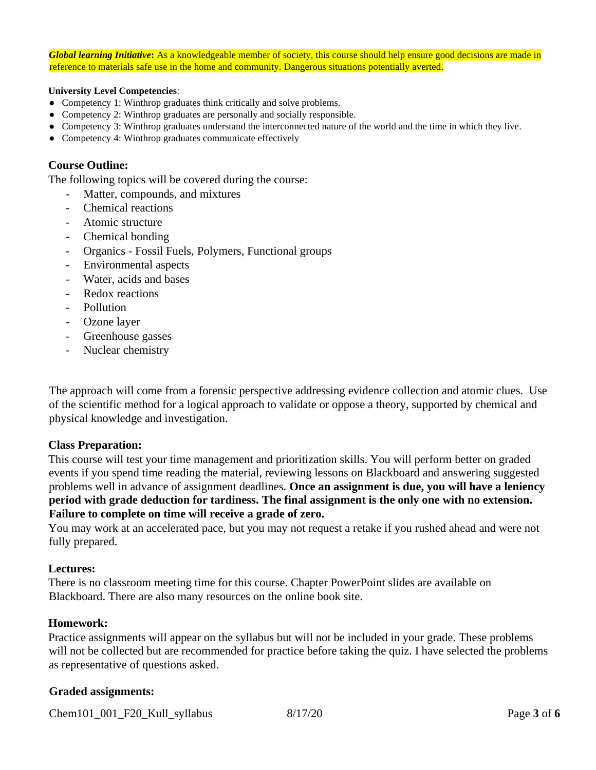*Global learning Initiative***:** As a knowledgeable member of society, this course should help ensure good decisions are made in reference to materials safe use in the home and community. Dangerous situations potentially averted.

#### **University Level Competencies**:

- Competency 1: Winthrop graduates think critically and solve problems.
- Competency 2: Winthrop graduates are personally and socially responsible.
- Competency 3: Winthrop graduates understand the interconnected nature of the world and the time in which they live.
- Competency 4: Winthrop graduates communicate effectively

#### **Course Outline:**

The following topics will be covered during the course:

- Matter, compounds, and mixtures
- Chemical reactions
- Atomic structure
- Chemical bonding
- Organics Fossil Fuels, Polymers, Functional groups
- Environmental aspects
- Water, acids and bases
- Redox reactions
- Pollution
- Ozone layer
- Greenhouse gasses
- Nuclear chemistry

The approach will come from a forensic perspective addressing evidence collection and atomic clues. Use of the scientific method for a logical approach to validate or oppose a theory, supported by chemical and physical knowledge and investigation.

#### **Class Preparation:**

This course will test your time management and prioritization skills. You will perform better on graded events if you spend time reading the material, reviewing lessons on Blackboard and answering suggested problems well in advance of assignment deadlines. **Once an assignment is due, you will have a leniency period with grade deduction for tardiness. The final assignment is the only one with no extension. Failure to complete on time will receive a grade of zero.**

You may work at an accelerated pace, but you may not request a retake if you rushed ahead and were not fully prepared.

#### **Lectures:**

There is no classroom meeting time for this course. Chapter PowerPoint slides are available on Blackboard. There are also many resources on the online book site.

#### **Homework:**

Practice assignments will appear on the syllabus but will not be included in your grade. These problems will not be collected but are recommended for practice before taking the quiz. I have selected the problems as representative of questions asked.

#### **Graded assignments:**

Chem101\_001\_F20\_Kull\_syllabus 8/17/20 Page **3** of **6**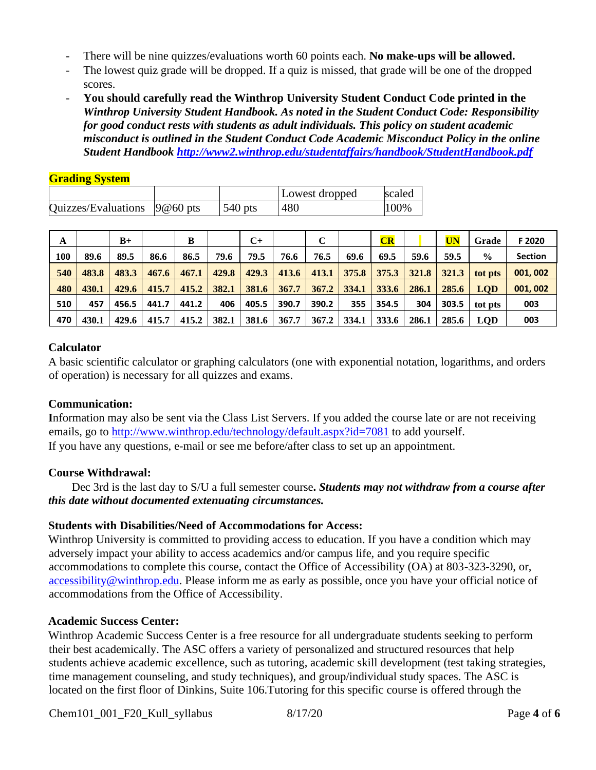- There will be nine quizzes/evaluations worth 60 points each. **No make-ups will be allowed.**
- The lowest quiz grade will be dropped. If a quiz is missed, that grade will be one of the dropped scores.
- **You should carefully read the Winthrop University Student Conduct Code printed in the**  *Winthrop University Student Handbook. As noted in the Student Conduct Code: Responsibility for good conduct rests with students as adult individuals. This policy on student academic misconduct is outlined in the Student Conduct Code Academic Misconduct Policy in the online Student Handbook<http://www2.winthrop.edu/studentaffairs/handbook/StudentHandbook.pdf>*

## **Grading System**

|                                 |           | Lowest dropped | scaled |
|---------------------------------|-----------|----------------|--------|
| Quizzes/Evaluations $ 9@60$ pts | $540$ pts | 480            | 100%   |

| A   |       | $B+$  |       | в     |       | C+    |       | $\mathbf C$ |       | CR    |       | UN    | Grade         | F 2020         |
|-----|-------|-------|-------|-------|-------|-------|-------|-------------|-------|-------|-------|-------|---------------|----------------|
| 100 | 89.6  | 89.5  | 86.6  | 86.5  | 79.6  | 79.5  | 76.6  | 76.5        | 69.6  | 69.5  | 59.6  | 59.5  | $\frac{6}{6}$ | <b>Section</b> |
| 540 | 483.8 | 483.3 | 467.6 | 467.1 | 429.8 | 429.3 | 413.6 | 413.1       | 375.8 | 375.3 | 321.8 | 321.3 | tot pts       | 001, 002       |
| 480 | 430.1 | 429.6 | 415.7 | 415.2 | 382.1 | 381.6 | 367.7 | 367.2       | 334.1 | 333.6 | 286.1 | 285.6 | <b>LOD</b>    | 001, 002       |
| 510 | 457   | 456.5 | 441.7 | 441.2 | 406   | 405.5 | 390.7 | 390.2       | 355   | 354.5 | 304   | 303.5 | tot pts       | 003            |
| 470 | 430.1 | 429.6 | 415.7 | 415.2 | 382.1 | 381.6 | 367.7 | 367.2       | 334.1 | 333.6 | 286.1 | 285.6 | <b>LOD</b>    | 003            |

## **Calculator**

A basic scientific calculator or graphing calculators (one with exponential notation, logarithms, and orders of operation) is necessary for all quizzes and exams.

## **Communication:**

**I**nformation may also be sent via the Class List Servers. If you added the course late or are not receiving emails, go to<http://www.winthrop.edu/technology/default.aspx?id=7081> [t](http://www.winthrop.edu/technology/default.aspx?id=7081)o add yourself. If you have any questions, e-mail or see me before/after class to set up an appointment.

## **Course Withdrawal:**

 Dec 3rd is the last day to S/U a full semester course**.** *Students may not withdraw from a course after this date without documented extenuating circumstances.*

## **Students with Disabilities/Need of Accommodations for Access:**

Winthrop University is committed to providing access to education. If you have a condition which may adversely impact your ability to access academics and/or campus life, and you require specific accommodations to complete this course, contact the Office of Accessibility (OA) at 803-323-3290, or, accessibility@winthrop.edu. Please inform me as early as possible, once you have your official notice of accommodations from the Office of Accessibility.

## **Academic Success Center:**

Winthrop Academic Success Center is a free resource for all undergraduate students seeking to perform their best academically. The ASC offers a variety of personalized and structured resources that help students achieve academic excellence, such as tutoring, academic skill development (test taking strategies, time management counseling, and study techniques), and group/individual study spaces. The ASC is located on the first floor of Dinkins, Suite 106.Tutoring for this specific course is offered through the

Chem101\_001\_F20\_Kull\_syllabus 8/17/20 Page **4** of **6**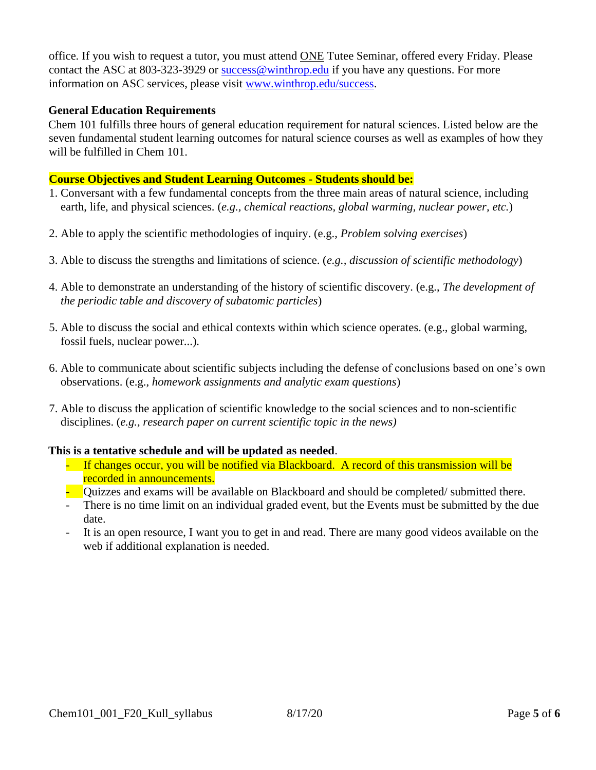office. If you wish to request a tutor, you must attend ONE Tutee Seminar, offered every Friday. Please contact the ASC at 803-323-3929 or success@winthrop.edu if you have any questions. For more information on ASC services, please visit [www.winthrop.edu/success.](https://exchangeweb.winthrop.edu/exchweb/bin/redir.asp?URL=http://www.winthrop.edu/success)

## **General Education Requirements**

Chem 101 fulfills three hours of general education requirement for natural sciences. Listed below are the seven fundamental student learning outcomes for natural science courses as well as examples of how they will be fulfilled in Chem 101.

## **Course Objectives and Student Learning Outcomes - Students should be:**

- 1. Conversant with a few fundamental concepts from the three main areas of natural science, including earth, life, and physical sciences. (*e.g., chemical reactions, global warming, nuclear power, etc.*)
- 2. Able to apply the scientific methodologies of inquiry. (e.g., *Problem solving exercises*)
- 3. Able to discuss the strengths and limitations of science. (*e.g., discussion of scientific methodology*)
- 4. Able to demonstrate an understanding of the history of scientific discovery. (e.g., *The development of the periodic table and discovery of subatomic particles*)
- 5. Able to discuss the social and ethical contexts within which science operates. (e.g., global warming, fossil fuels, nuclear power...).
- 6. Able to communicate about scientific subjects including the defense of conclusions based on one's own observations. (e.g., *homework assignments and analytic exam questions*)
- 7. Able to discuss the application of scientific knowledge to the social sciences and to non-scientific disciplines. (*e.g., research paper on current scientific topic in the news)*

## **This is a tentative schedule and will be updated as needed**.

- If changes occur, you will be notified via Blackboard. A record of this transmission will be recorded in announcements.
- Quizzes and exams will be available on Blackboard and should be completed/ submitted there.
- There is no time limit on an individual graded event, but the Events must be submitted by the due date.
- It is an open resource, I want you to get in and read. There are many good videos available on the web if additional explanation is needed.